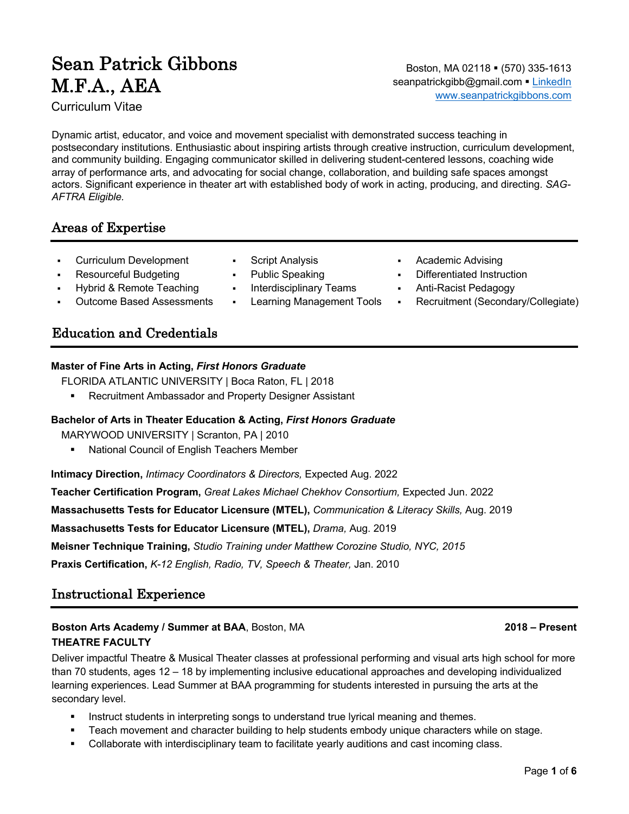# Sean Patrick Gibbons M.F.A., AEA

Curriculum Vitae

Boston, MA 02118 · (570) 335-1613 seanpatrickgibb@gmail.com · LinkedIn www.seanpatrickgibbons.com

Dynamic artist, educator, and voice and movement specialist with demonstrated success teaching in postsecondary institutions. Enthusiastic about inspiring artists through creative instruction, curriculum development, and community building. Engaging communicator skilled in delivering student-centered lessons, coaching wide array of performance arts, and advocating for social change, collaboration, and building safe spaces amongst actors. Significant experience in theater art with established body of work in acting, producing, and directing. *SAG-AFTRA Eligible.*

§ Public Speaking

Interdisciplinary Teams § Learning Management Tools

# Areas of Expertise

- § Curriculum Development
- § Resourceful Budgeting
- § Hybrid & Remote Teaching
- § Outcome Based Assessments

# Education and Credentials

#### **Master of Fine Arts in Acting,** *First Honors Graduate*

FLORIDA ATLANTIC UNIVERSITY | Boca Raton, FL | 2018

■ Recruitment Ambassador and Property Designer Assistant

#### **Bachelor of Arts in Theater Education & Acting,** *First Honors Graduate*

MARYWOOD UNIVERSITY | Scranton, PA | 2010

§ National Council of English Teachers Member

**Intimacy Direction,** *Intimacy Coordinators & Directors,* Expected Aug. 2022

**Teacher Certification Program,** *Great Lakes Michael Chekhov Consortium,* Expected Jun. 2022

**Massachusetts Tests for Educator Licensure (MTEL),** *Communication & Literacy Skills,* Aug. 2019

**Massachusetts Tests for Educator Licensure (MTEL),** *Drama,* Aug. 2019

**Meisner Technique Training,** *Studio Training under Matthew Corozine Studio, NYC, 2015*

**Praxis Certification,** *K-12 English, Radio, TV, Speech & Theater,* Jan. 2010

# Instructional Experience

### **Boston Arts Academy / Summer at BAA**, Boston, MA **2018 – Present**

#### **THEATRE FACULTY**

Deliver impactful Theatre & Musical Theater classes at professional performing and visual arts high school for more than 70 students, ages 12 – 18 by implementing inclusive educational approaches and developing individualized learning experiences. Lead Summer at BAA programming for students interested in pursuing the arts at the secondary level.

- Instruct students in interpreting songs to understand true lyrical meaning and themes.
- Teach movement and character building to help students embody unique characters while on stage.
- Collaborate with interdisciplinary team to facilitate yearly auditions and cast incoming class.
- § Script Analysis
	- § Academic Advising § Differentiated Instruction
	- § Anti-Racist Pedagogy
	- § Recruitment (Secondary/Collegiate)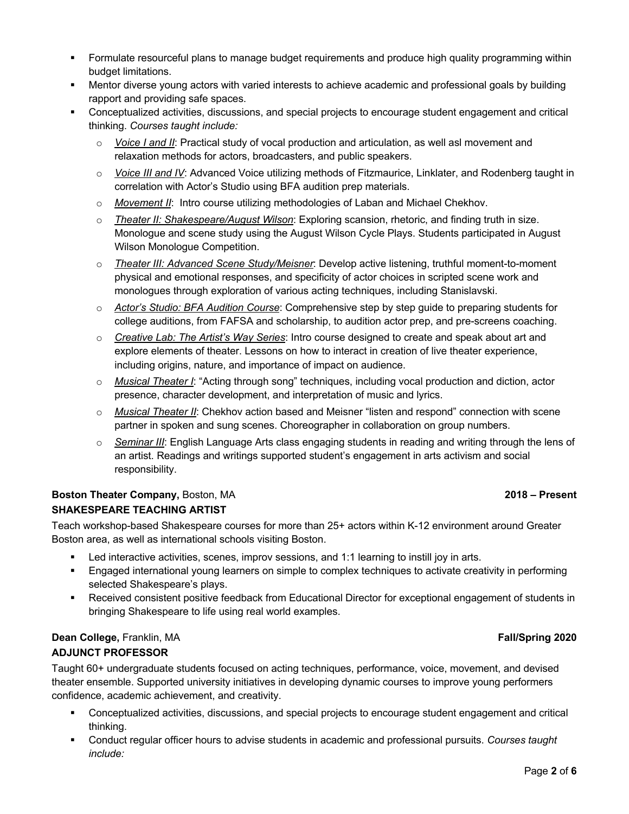- **•** Formulate resourceful plans to manage budget requirements and produce high quality programming within budget limitations.
- § Mentor diverse young actors with varied interests to achieve academic and professional goals by building rapport and providing safe spaces.
- § Conceptualized activities, discussions, and special projects to encourage student engagement and critical thinking. *Courses taught include:*
	- o *Voice I and II*: Practical study of vocal production and articulation, as well asl movement and relaxation methods for actors, broadcasters, and public speakers.
	- o *Voice III and IV*: Advanced Voice utilizing methods of Fitzmaurice, Linklater, and Rodenberg taught in correlation with Actor's Studio using BFA audition prep materials.
	- o *Movement II*: Intro course utilizing methodologies of Laban and Michael Chekhov.
	- o *Theater II: Shakespeare/August Wilson*: Exploring scansion, rhetoric, and finding truth in size. Monologue and scene study using the August Wilson Cycle Plays. Students participated in August Wilson Monologue Competition.
	- o *Theater III: Advanced Scene Study/Meisner*: Develop active listening, truthful moment-to-moment physical and emotional responses, and specificity of actor choices in scripted scene work and monologues through exploration of various acting techniques, including Stanislavski.
	- o *Actor's Studio: BFA Audition Course*: Comprehensive step by step guide to preparing students for college auditions, from FAFSA and scholarship, to audition actor prep, and pre-screens coaching.
	- o *Creative Lab: The Artist's Way Series*: Intro course designed to create and speak about art and explore elements of theater. Lessons on how to interact in creation of live theater experience, including origins, nature, and importance of impact on audience.
	- o *Musical Theater I*: "Acting through song" techniques, including vocal production and diction, actor presence, character development, and interpretation of music and lyrics.
	- o *Musical Theater II*: Chekhov action based and Meisner "listen and respond" connection with scene partner in spoken and sung scenes. Choreographer in collaboration on group numbers.
	- o *Seminar III*: English Language Arts class engaging students in reading and writing through the lens of an artist. Readings and writings supported student's engagement in arts activism and social responsibility.

### **Boston Theater Company,** Boston, MA **2018 – Present SHAKESPEARE TEACHING ARTIST**

Teach workshop-based Shakespeare courses for more than 25+ actors within K-12 environment around Greater Boston area, as well as international schools visiting Boston.

- Led interactive activities, scenes, improv sessions, and 1:1 learning to instill joy in arts.
- § Engaged international young learners on simple to complex techniques to activate creativity in performing selected Shakespeare's plays.
- § Received consistent positive feedback from Educational Director for exceptional engagement of students in bringing Shakespeare to life using real world examples.

#### **Dean College,** Franklin, MA **Fall/Spring 2020 ADJUNCT PROFESSOR**

Taught 60+ undergraduate students focused on acting techniques, performance, voice, movement, and devised theater ensemble. Supported university initiatives in developing dynamic courses to improve young performers confidence, academic achievement, and creativity.

- § Conceptualized activities, discussions, and special projects to encourage student engagement and critical thinking.
- § Conduct regular officer hours to advise students in academic and professional pursuits. *Courses taught include:*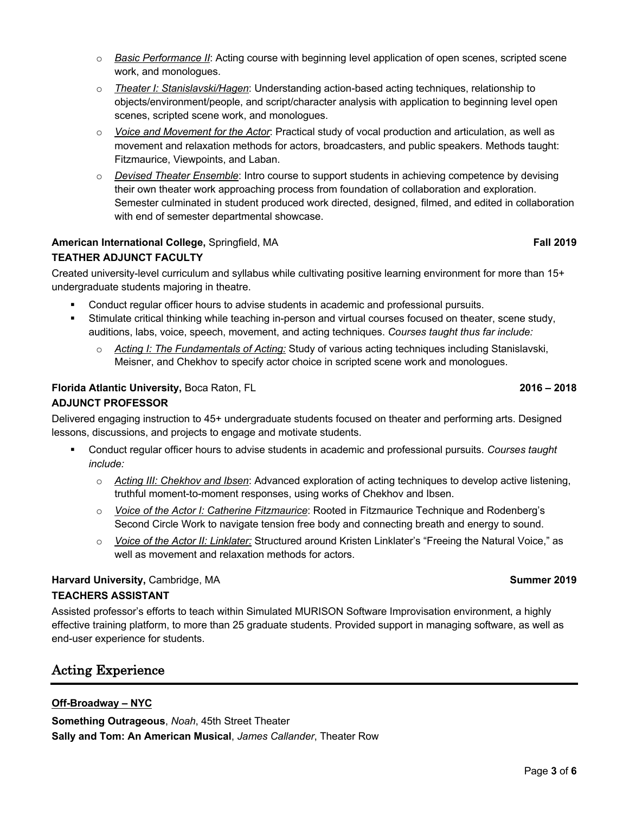- o *Basic Performance II*: Acting course with beginning level application of open scenes, scripted scene work, and monologues.
- o *Theater I: Stanislavski/Hagen*: Understanding action-based acting techniques, relationship to objects/environment/people, and script/character analysis with application to beginning level open scenes, scripted scene work, and monologues.
- o *Voice and Movement for the Actor*: Practical study of vocal production and articulation, as well as movement and relaxation methods for actors, broadcasters, and public speakers. Methods taught: Fitzmaurice, Viewpoints, and Laban.
- o *Devised Theater Ensemble*: Intro course to support students in achieving competence by devising their own theater work approaching process from foundation of collaboration and exploration. Semester culminated in student produced work directed, designed, filmed, and edited in collaboration with end of semester departmental showcase.

### **American International College, Springfield, MA <b>Fall Example 2019 Fall** 2019

# **TEATHER ADJUNCT FACULTY**

Created university-level curriculum and syllabus while cultivating positive learning environment for more than 15+ undergraduate students majoring in theatre.

- § Conduct regular officer hours to advise students in academic and professional pursuits.
- § Stimulate critical thinking while teaching in-person and virtual courses focused on theater, scene study, auditions, labs, voice, speech, movement, and acting techniques. *Courses taught thus far include:*
	- o *Acting I: The Fundamentals of Acting:* Study of various acting techniques including Stanislavski, Meisner, and Chekhov to specify actor choice in scripted scene work and monologues.

# **Florida Atlantic University,** Boca Raton, FL **2016 – 2018**

# **ADJUNCT PROFESSOR**

Delivered engaging instruction to 45+ undergraduate students focused on theater and performing arts. Designed lessons, discussions, and projects to engage and motivate students.

- § Conduct regular officer hours to advise students in academic and professional pursuits. *Courses taught include:*
	- o *Acting III: Chekhov and Ibsen*: Advanced exploration of acting techniques to develop active listening, truthful moment-to-moment responses, using works of Chekhov and Ibsen.
	- o *Voice of the Actor I: Catherine Fitzmaurice*: Rooted in Fitzmaurice Technique and Rodenberg's Second Circle Work to navigate tension free body and connecting breath and energy to sound.
	- o *Voice of the Actor II: Linklater:* Structured around Kristen Linklater's "Freeing the Natural Voice," as well as movement and relaxation methods for actors.

# **Harvard University, Cambridge, MA Summer** 2019 **TEACHERS ASSISTANT**

Assisted professor's efforts to teach within Simulated MURISON Software Improvisation environment, a highly effective training platform, to more than 25 graduate students. Provided support in managing software, as well as end-user experience for students.

# Acting Experience

# **Off-Broadway – NYC**

**Something Outrageous**, *Noah*, 45th Street Theater **Sally and Tom: An American Musical**, *James Callander*, Theater Row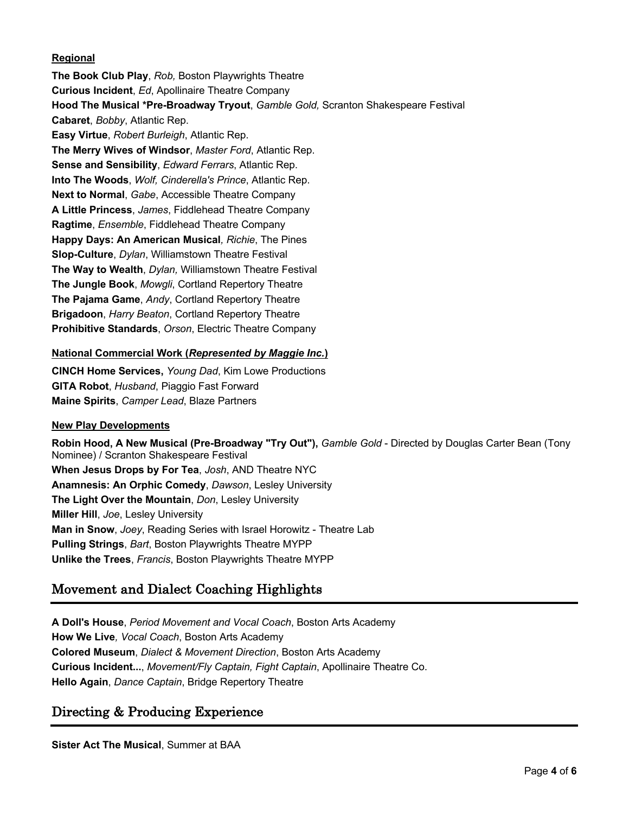#### **Regional**

**The Book Club Play**, *Rob,* Boston Playwrights Theatre **Curious Incident**, *Ed*, Apollinaire Theatre Company **Hood The Musical \*Pre-Broadway Tryout**, *Gamble Gold,* Scranton Shakespeare Festival **Cabaret**, *Bobby*, Atlantic Rep. **Easy Virtue**, *Robert Burleigh*, Atlantic Rep. **The Merry Wives of Windsor**, *Master Ford*, Atlantic Rep. **Sense and Sensibility**, *Edward Ferrars*, Atlantic Rep. **Into The Woods**, *Wolf, Cinderella's Prince*, Atlantic Rep. **Next to Normal**, *Gabe*, Accessible Theatre Company **A Little Princess**, *James*, Fiddlehead Theatre Company **Ragtime**, *Ensemble*, Fiddlehead Theatre Company **Happy Days: An American Musical***, Richie*, The Pines **Slop-Culture**, *Dylan*, Williamstown Theatre Festival **The Way to Wealth**, *Dylan,* Williamstown Theatre Festival **The Jungle Book**, *Mowgli*, Cortland Repertory Theatre **The Pajama Game**, *Andy*, Cortland Repertory Theatre **Brigadoon**, *Harry Beaton*, Cortland Repertory Theatre **Prohibitive Standards**, *Orson*, Electric Theatre Company

#### **National Commercial Work (***Represented by Maggie Inc.***)**

**CINCH Home Services,** *Young Dad*, Kim Lowe Productions **GITA Robot**, *Husband*, Piaggio Fast Forward **Maine Spirits**, *Camper Lead*, Blaze Partners

#### **New Play Developments**

**Robin Hood, A New Musical (Pre-Broadway "Try Out"),** *Gamble Gold* - Directed by Douglas Carter Bean (Tony Nominee) / Scranton Shakespeare Festival **When Jesus Drops by For Tea**, *Josh*, AND Theatre NYC **Anamnesis: An Orphic Comedy**, *Dawson*, Lesley University **The Light Over the Mountain**, *Don*, Lesley University **Miller Hill**, *Joe*, Lesley University **Man in Snow**, *Joey*, Reading Series with Israel Horowitz - Theatre Lab **Pulling Strings**, *Bart*, Boston Playwrights Theatre MYPP **Unlike the Trees**, *Francis*, Boston Playwrights Theatre MYPP

# Movement and Dialect Coaching Highlights

**A Doll's House**, *Period Movement and Vocal Coach*, Boston Arts Academy **How We Live***, Vocal Coach*, Boston Arts Academy **Colored Museum**, *Dialect & Movement Direction*, Boston Arts Academy **Curious Incident...**, *Movement/Fly Captain, Fight Captain*, Apollinaire Theatre Co. **Hello Again**, *Dance Captain*, Bridge Repertory Theatre

# Directing & Producing Experience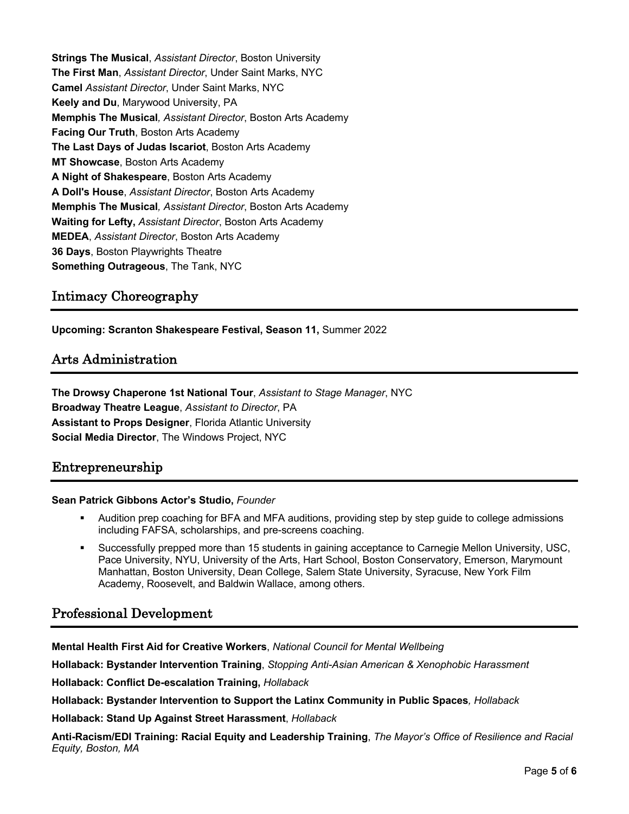**Strings The Musical**, *Assistant Director*, Boston University **The First Man**, *Assistant Director*, Under Saint Marks, NYC **Camel** *Assistant Director*, Under Saint Marks, NYC **Keely and Du**, Marywood University, PA **Memphis The Musical***, Assistant Director*, Boston Arts Academy **Facing Our Truth**, Boston Arts Academy **The Last Days of Judas Iscariot**, Boston Arts Academy **MT Showcase**, Boston Arts Academy **A Night of Shakespeare**, Boston Arts Academy **A Doll's House**, *Assistant Director*, Boston Arts Academy **Memphis The Musical***, Assistant Director*, Boston Arts Academy **Waiting for Lefty,** *Assistant Director*, Boston Arts Academy **MEDEA**, *Assistant Director*, Boston Arts Academy **36 Days**, Boston Playwrights Theatre **Something Outrageous**, The Tank, NYC

# Intimacy Choreography

**Upcoming: Scranton Shakespeare Festival, Season 11,** Summer 2022

# Arts Administration

**The Drowsy Chaperone 1st National Tour**, *Assistant to Stage Manager*, NYC **Broadway Theatre League**, *Assistant to Director*, PA **Assistant to Props Designer**, Florida Atlantic University **Social Media Director**, The Windows Project, NYC

### Entrepreneurship

#### **Sean Patrick Gibbons Actor's Studio,** *Founder*

- § Audition prep coaching for BFA and MFA auditions, providing step by step guide to college admissions including FAFSA, scholarships, and pre-screens coaching.
- § Successfully prepped more than 15 students in gaining acceptance to Carnegie Mellon University, USC, Pace University, NYU, University of the Arts, Hart School, Boston Conservatory, Emerson, Marymount Manhattan, Boston University, Dean College, Salem State University, Syracuse, New York Film Academy, Roosevelt, and Baldwin Wallace, among others.

### Professional Development

**Mental Health First Aid for Creative Workers**, *National Council for Mental Wellbeing*

**Hollaback: Bystander Intervention Training**, *Stopping Anti-Asian American & Xenophobic Harassment*

**Hollaback: Conflict De-escalation Training,** *Hollaback*

**Hollaback: Bystander Intervention to Support the Latinx Community in Public Spaces***, Hollaback*

**Hollaback: Stand Up Against Street Harassment**, *Hollaback*

**Anti-Racism/EDI Training: Racial Equity and Leadership Training**, *The Mayor's Office of Resilience and Racial Equity, Boston, MA*